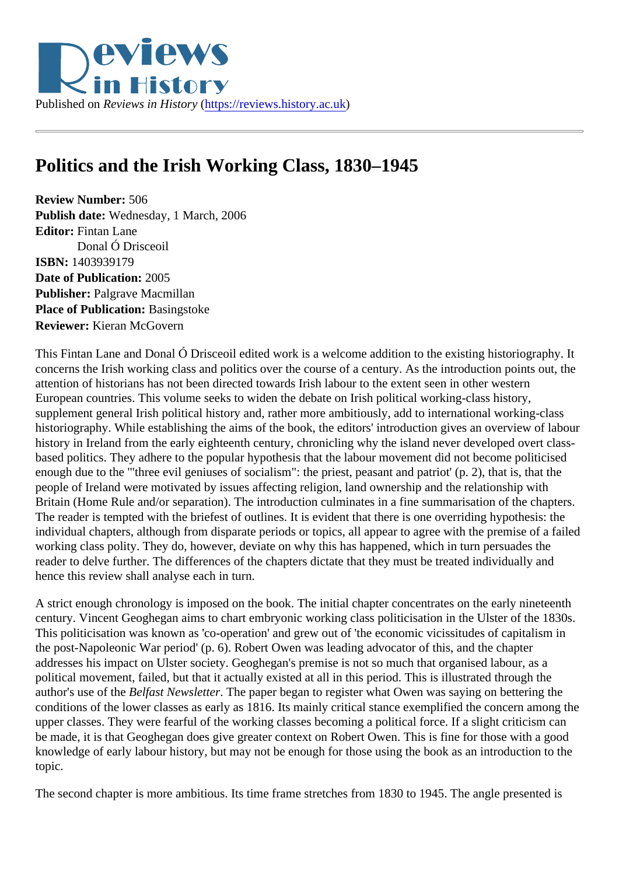## Politics and the Irish Working Class, 1830–1945

Review Number: 506 Publish date: Wednesday, 1 March, 2006 Editor: Fintan Lane Donal Ó Drisceoil ISBN: 1403939179 Date of Publication: 2005 Publisher: Palgrave Macmillan Place of Publication: Basingstoke Reviewer: Kieran McGovern

This Fintan Lane and Donal Ó Drisceoil edited work is a welcome addition to the existing historiography. It concerns the Irish working class and politics over the course of a century. As the introduction points out, the attention of historians has not been directed towards Irish labour to the extent seen in other western European countries. This volume seeks to widen the debate on Irish political working-class history, supplement general Irish political history and, rather more ambitiously, add to international working-class historiography. While establishing the aims of the book, the editors' introduction gives an overview of labor history in Ireland from the early eighteenth century, chronicling why the island never developed overt classbased politics. They adhere to the popular hypothesis that the labour movement did not become politicised enough due to the '"three evil geniuses of socialism": the priest, peasant and patriot' (p. 2), that is, that the people of Ireland were motivated by issues affecting religion, land ownership and the relationship with Britain (Home Rule and/or separation). The introduction culminates in a fine summarisation of the chapters The reader is tempted with the briefest of outlines. It is evident that there is one overriding hypothesis: the individual chapters, although from disparate periods or topics, all appear to agree with the premise of a fai working class polity. They do, however, deviate on why this has happened, which in turn persuades the reader to delve further. The differences of the chapters dictate that they must be treated individually and hence this review shall analyse each in turn.

A strict enough chronology is imposed on the book. The initial chapter concentrates on the early nineteent century. Vincent Geoghegan aims to chart embryonic working class politicisation in the Ulster of the 1830s. This politicisation was known as 'co-operation' and grew out of 'the economic vicissitudes of capitalism in the post-Napoleonic War period' (p. 6). Robert Owen was leading advocator of this, and the chapter addresses his impact on Ulster society. Geoghegan's premise is not so much that organised labour, as a political movement, failed, but that it actually existed at all in this period. This is illustrated through the author's use of the elfast Newsletter. The paper began to register what Owen was saying on bettering the conditions of the lower classes as early as 1816. Its mainly critical stance exemplified the concern among upper classes. They were fearful of the working classes becoming a political force. If a slight criticism can be made, it is that Geoghegan does give greater context on Robert Owen. This is fine for those with a good knowledge of early labour history, but may not be enough for those using the book as an introduction to th topic.

The second chapter is more ambitious. Its time frame stretches from 1830 to 1945. The angle presented is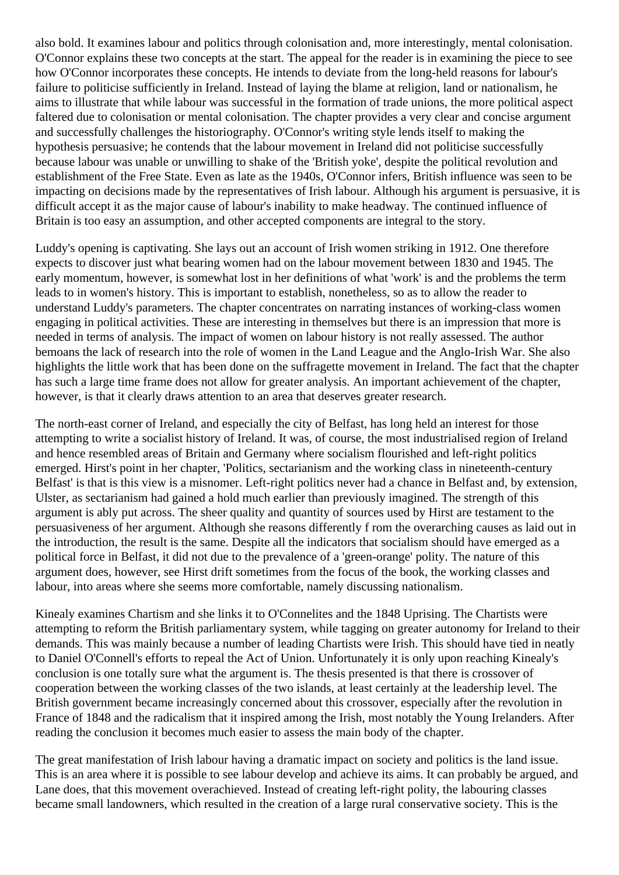also bold. It examines labour and politics through colonisation and, more interestingly, mental colonisation. O'Connor explains these two concepts at the start. The appeal for the reader is in examining the piece to see how O'Connor incorporates these concepts. He intends to deviate from the long-held reasons for labour's failure to politicise sufficiently in Ireland. Instead of laying the blame at religion, land or nationalism, he aims to illustrate that while labour was successful in the formation of trade unions, the more political aspect faltered due to colonisation or mental colonisation. The chapter provides a very clear and concise argument and successfully challenges the historiography. O'Connor's writing style lends itself to making the hypothesis persuasive; he contends that the labour movement in Ireland did not politicise successfully because labour was unable or unwilling to shake of the 'British yoke', despite the political revolution and establishment of the Free State. Even as late as the 1940s, O'Connor infers, British influence was seen to be impacting on decisions made by the representatives of Irish labour. Although his argument is persuasive, it is difficult accept it as the major cause of labour's inability to make headway. The continued influence of Britain is too easy an assumption, and other accepted components are integral to the story.

Luddy's opening is captivating. She lays out an account of Irish women striking in 1912. One therefore expects to discover just what bearing women had on the labour movement between 1830 and 1945. The early momentum, however, is somewhat lost in her definitions of what 'work' is and the problems the term leads to in women's history. This is important to establish, nonetheless, so as to allow the reader to understand Luddy's parameters. The chapter concentrates on narrating instances of working-class women engaging in political activities. These are interesting in themselves but there is an impression that more is needed in terms of analysis. The impact of women on labour history is not really assessed. The author bemoans the lack of research into the role of women in the Land League and the Anglo-Irish War. She also highlights the little work that has been done on the suffragette movement in Ireland. The fact that the chapter has such a large time frame does not allow for greater analysis. An important achievement of the chapter, however, is that it clearly draws attention to an area that deserves greater research.

The north-east corner of Ireland, and especially the city of Belfast, has long held an interest for those attempting to write a socialist history of Ireland. It was, of course, the most industrialised region of Ireland and hence resembled areas of Britain and Germany where socialism flourished and left-right politics emerged. Hirst's point in her chapter, 'Politics, sectarianism and the working class in nineteenth-century Belfast' is that is this view is a misnomer. Left-right politics never had a chance in Belfast and, by extension, Ulster, as sectarianism had gained a hold much earlier than previously imagined. The strength of this argument is ably put across. The sheer quality and quantity of sources used by Hirst are testament to the persuasiveness of her argument. Although she reasons differently f rom the overarching causes as laid out in the introduction, the result is the same. Despite all the indicators that socialism should have emerged as a political force in Belfast, it did not due to the prevalence of a 'green-orange' polity. The nature of this argument does, however, see Hirst drift sometimes from the focus of the book, the working classes and labour, into areas where she seems more comfortable, namely discussing nationalism.

Kinealy examines Chartism and she links it to O'Connelites and the 1848 Uprising. The Chartists were attempting to reform the British parliamentary system, while tagging on greater autonomy for Ireland to their demands. This was mainly because a number of leading Chartists were Irish. This should have tied in neatly to Daniel O'Connell's efforts to repeal the Act of Union. Unfortunately it is only upon reaching Kinealy's conclusion is one totally sure what the argument is. The thesis presented is that there is crossover of cooperation between the working classes of the two islands, at least certainly at the leadership level. The British government became increasingly concerned about this crossover, especially after the revolution in France of 1848 and the radicalism that it inspired among the Irish, most notably the Young Irelanders. After reading the conclusion it becomes much easier to assess the main body of the chapter.

The great manifestation of Irish labour having a dramatic impact on society and politics is the land issue. This is an area where it is possible to see labour develop and achieve its aims. It can probably be argued, and Lane does, that this movement overachieved. Instead of creating left-right polity, the labouring classes became small landowners, which resulted in the creation of a large rural conservative society. This is the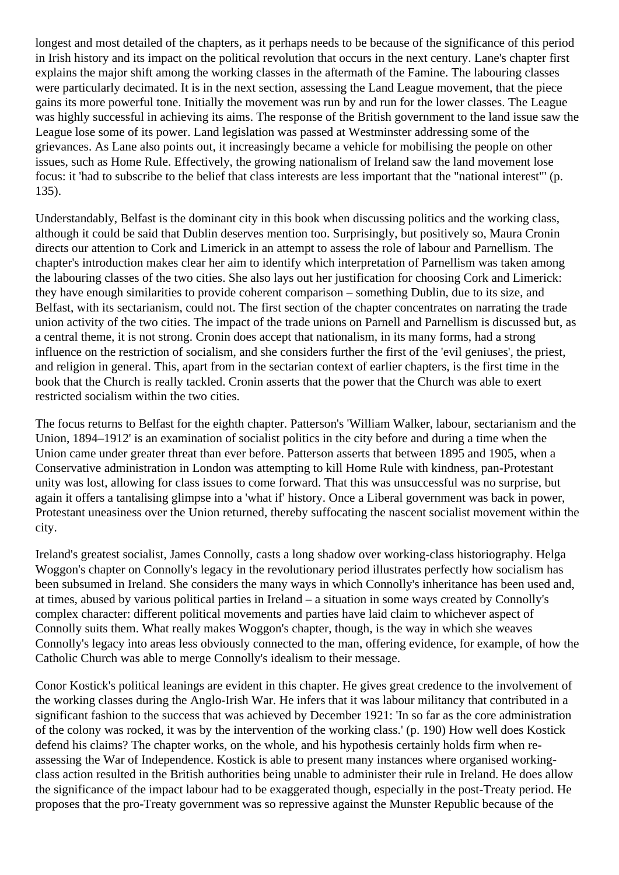longest and most detailed of the chapters, as it perhaps needs to be because of the significance of this period in Irish history and its impact on the political revolution that occurs in the next century. Lane's chapter first explains the major shift among the working classes in the aftermath of the Famine. The labouring classes were particularly decimated. It is in the next section, assessing the Land League movement, that the piece gains its more powerful tone. Initially the movement was run by and run for the lower classes. The League was highly successful in achieving its aims. The response of the British government to the land issue saw the League lose some of its power. Land legislation was passed at Westminster addressing some of the grievances. As Lane also points out, it increasingly became a vehicle for mobilising the people on other issues, such as Home Rule. Effectively, the growing nationalism of Ireland saw the land movement lose focus: it 'had to subscribe to the belief that class interests are less important that the "national interest"' (p. 135).

Understandably, Belfast is the dominant city in this book when discussing politics and the working class, although it could be said that Dublin deserves mention too. Surprisingly, but positively so, Maura Cronin directs our attention to Cork and Limerick in an attempt to assess the role of labour and Parnellism. The chapter's introduction makes clear her aim to identify which interpretation of Parnellism was taken among the labouring classes of the two cities. She also lays out her justification for choosing Cork and Limerick: they have enough similarities to provide coherent comparison – something Dublin, due to its size, and Belfast, with its sectarianism, could not. The first section of the chapter concentrates on narrating the trade union activity of the two cities. The impact of the trade unions on Parnell and Parnellism is discussed but, as a central theme, it is not strong. Cronin does accept that nationalism, in its many forms, had a strong influence on the restriction of socialism, and she considers further the first of the 'evil geniuses', the priest, and religion in general. This, apart from in the sectarian context of earlier chapters, is the first time in the book that the Church is really tackled. Cronin asserts that the power that the Church was able to exert restricted socialism within the two cities.

The focus returns to Belfast for the eighth chapter. Patterson's 'William Walker, labour, sectarianism and the Union, 1894–1912' is an examination of socialist politics in the city before and during a time when the Union came under greater threat than ever before. Patterson asserts that between 1895 and 1905, when a Conservative administration in London was attempting to kill Home Rule with kindness, pan-Protestant unity was lost, allowing for class issues to come forward. That this was unsuccessful was no surprise, but again it offers a tantalising glimpse into a 'what if' history. Once a Liberal government was back in power, Protestant uneasiness over the Union returned, thereby suffocating the nascent socialist movement within the city.

Ireland's greatest socialist, James Connolly, casts a long shadow over working-class historiography. Helga Woggon's chapter on Connolly's legacy in the revolutionary period illustrates perfectly how socialism has been subsumed in Ireland. She considers the many ways in which Connolly's inheritance has been used and, at times, abused by various political parties in Ireland – a situation in some ways created by Connolly's complex character: different political movements and parties have laid claim to whichever aspect of Connolly suits them. What really makes Woggon's chapter, though, is the way in which she weaves Connolly's legacy into areas less obviously connected to the man, offering evidence, for example, of how the Catholic Church was able to merge Connolly's idealism to their message.

Conor Kostick's political leanings are evident in this chapter. He gives great credence to the involvement of the working classes during the Anglo-Irish War. He infers that it was labour militancy that contributed in a significant fashion to the success that was achieved by December 1921: 'In so far as the core administration of the colony was rocked, it was by the intervention of the working class.' (p. 190) How well does Kostick defend his claims? The chapter works, on the whole, and his hypothesis certainly holds firm when reassessing the War of Independence. Kostick is able to present many instances where organised workingclass action resulted in the British authorities being unable to administer their rule in Ireland. He does allow the significance of the impact labour had to be exaggerated though, especially in the post-Treaty period. He proposes that the pro-Treaty government was so repressive against the Munster Republic because of the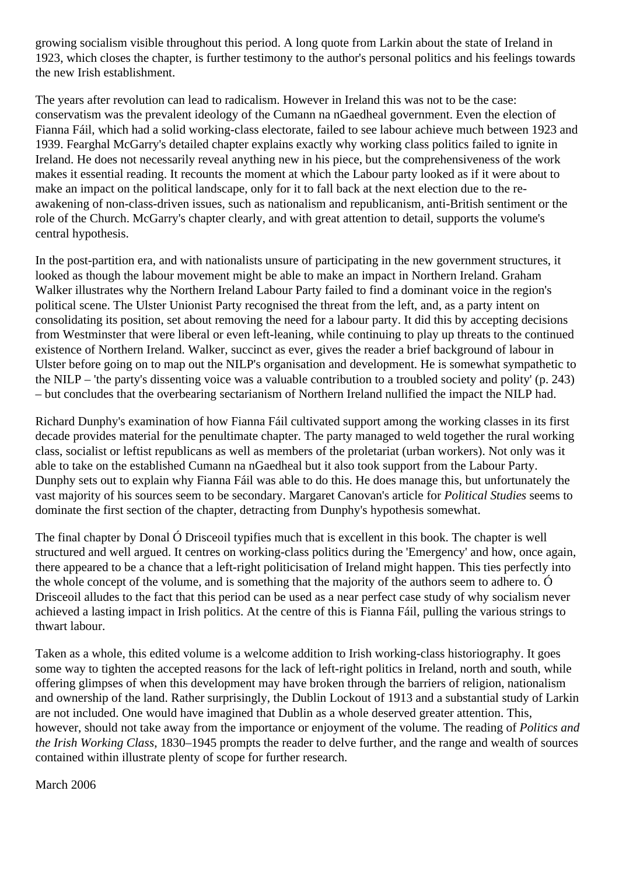growing socialism visible throughout this period. A long quote from Larkin about the state of Ireland in 1923, which closes the chapter, is further testimony to the author's personal politics and his feelings towards the new Irish establishment.

The years after revolution can lead to radicalism. However in Ireland this was not to be the case: conservatism was the prevalent ideology of the Cumann na nGaedheal government. Even the election of Fianna Fáil, which had a solid working-class electorate, failed to see labour achieve much between 1923 and 1939. Fearghal McGarry's detailed chapter explains exactly why working class politics failed to ignite in Ireland. He does not necessarily reveal anything new in his piece, but the comprehensiveness of the work makes it essential reading. It recounts the moment at which the Labour party looked as if it were about to make an impact on the political landscape, only for it to fall back at the next election due to the reawakening of non-class-driven issues, such as nationalism and republicanism, anti-British sentiment or the role of the Church. McGarry's chapter clearly, and with great attention to detail, supports the volume's central hypothesis.

In the post-partition era, and with nationalists unsure of participating in the new government structures, it looked as though the labour movement might be able to make an impact in Northern Ireland. Graham Walker illustrates why the Northern Ireland Labour Party failed to find a dominant voice in the region's political scene. The Ulster Unionist Party recognised the threat from the left, and, as a party intent on consolidating its position, set about removing the need for a labour party. It did this by accepting decisions from Westminster that were liberal or even left-leaning, while continuing to play up threats to the continued existence of Northern Ireland. Walker, succinct as ever, gives the reader a brief background of labour in Ulster before going on to map out the NILP's organisation and development. He is somewhat sympathetic to the NILP – 'the party's dissenting voice was a valuable contribution to a troubled society and polity' (p. 243) – but concludes that the overbearing sectarianism of Northern Ireland nullified the impact the NILP had.

Richard Dunphy's examination of how Fianna Fáil cultivated support among the working classes in its first decade provides material for the penultimate chapter. The party managed to weld together the rural working class, socialist or leftist republicans as well as members of the proletariat (urban workers). Not only was it able to take on the established Cumann na nGaedheal but it also took support from the Labour Party. Dunphy sets out to explain why Fianna Fáil was able to do this. He does manage this, but unfortunately the vast majority of his sources seem to be secondary. Margaret Canovan's article for *Political Studies* seems to dominate the first section of the chapter, detracting from Dunphy's hypothesis somewhat.

The final chapter by Donal Ó Drisceoil typifies much that is excellent in this book. The chapter is well structured and well argued. It centres on working-class politics during the 'Emergency' and how, once again, there appeared to be a chance that a left-right politicisation of Ireland might happen. This ties perfectly into the whole concept of the volume, and is something that the majority of the authors seem to adhere to. Ó Drisceoil alludes to the fact that this period can be used as a near perfect case study of why socialism never achieved a lasting impact in Irish politics. At the centre of this is Fianna Fáil, pulling the various strings to thwart labour.

Taken as a whole, this edited volume is a welcome addition to Irish working-class historiography. It goes some way to tighten the accepted reasons for the lack of left-right politics in Ireland, north and south, while offering glimpses of when this development may have broken through the barriers of religion, nationalism and ownership of the land. Rather surprisingly, the Dublin Lockout of 1913 and a substantial study of Larkin are not included. One would have imagined that Dublin as a whole deserved greater attention. This, however, should not take away from the importance or enjoyment of the volume. The reading of *Politics and the Irish Working Class*, 1830–1945 prompts the reader to delve further, and the range and wealth of sources contained within illustrate plenty of scope for further research.

March 2006